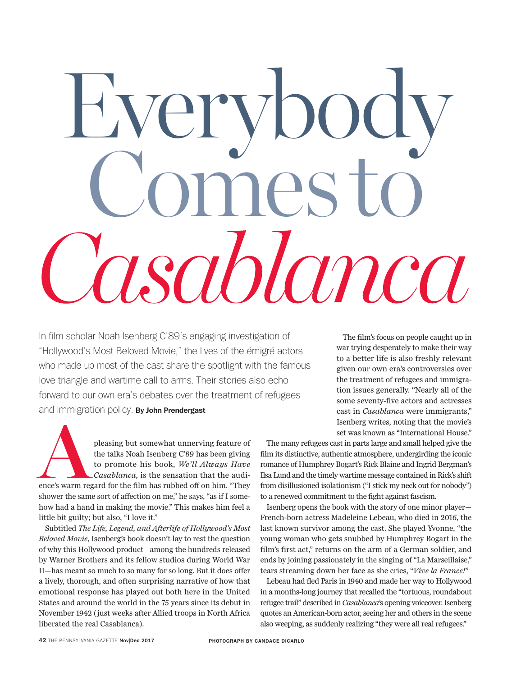## Everybody Comes to sablanc

In film scholar Noah Isenberg C'89's engaging investigation of "Hollywood's Most Beloved Movie," the lives of the émigré actors who made up most of the cast share the spotlight with the famous love triangle and wartime call to arms. Their stories also echo forward to our own era's debates over the treatment of refugees and immigration policy. **By John Prendergast**

pleasing but somewhat unnerving feature of<br>
the talks Noah Isenberg C'89 has been giving<br>
to promote his book, We'll Always Have<br>
Casablanca, is the sensation that the audi-<br>
ence's warm regard for the film has rubbed off the talks Noah Isenberg C'89 has been giving to promote his book, *We'll Always Have Casablanca,* is the sensation that the audishower the same sort of affection on me," he says, "as if I somehow had a hand in making the movie." This makes him feel a little bit guilty; but also, "I love it."

Subtitled *The Life, Legend, and Afterlife of Hollywood's Most Beloved Movie*, Isenberg's book doesn't lay to rest the question of why this Hollywood product—among the hundreds released by Warner Brothers and its fellow studios during World War II—has meant so much to so many for so long. But it does offer a lively, thorough, and often surprising narrative of how that emotional response has played out both here in the United States and around the world in the 75 years since its debut in November 1942 (just weeks after Allied troops in North Africa liberated the real Casablanca).

The film's focus on people caught up in war trying desperately to make their way to a better life is also freshly relevant given our own era's controversies over the treatment of refugees and immigration issues generally. "Nearly all of the some seventy-five actors and actresses cast in *Casablanca* were immigrants," Isenberg writes, noting that the movie's set was known as "International House."

The many refugees cast in parts large and small helped give the film its distinctive, authentic atmosphere, undergirding the iconic romance of Humphrey Bogart's Rick Blaine and Ingrid Bergman's Ilsa Lund and the timely wartime message contained in Rick's shift from disillusioned isolationism ("I stick my neck out for nobody") to a renewed commitment to the fight against fascism.

Isenberg opens the book with the story of one minor player— French-born actress Madeleine Lebeau, who died in 2016, the last known survivor among the cast. She played Yvonne, "the young woman who gets snubbed by Humphrey Bogart in the film's first act," returns on the arm of a German soldier, and ends by joining passionately in the singing of "La Marseillaise," tears streaming down her face as she cries, "*Vive la France!*"

Lebeau had fled Paris in 1940 and made her way to Hollywood in a months-long journey that recalled the "tortuous, roundabout refugee trail" described in *Casablanca*'s opening voiceover. Isenberg quotes an American-born actor, seeing her and others in the scene also weeping, as suddenly realizing "they were all real refugees."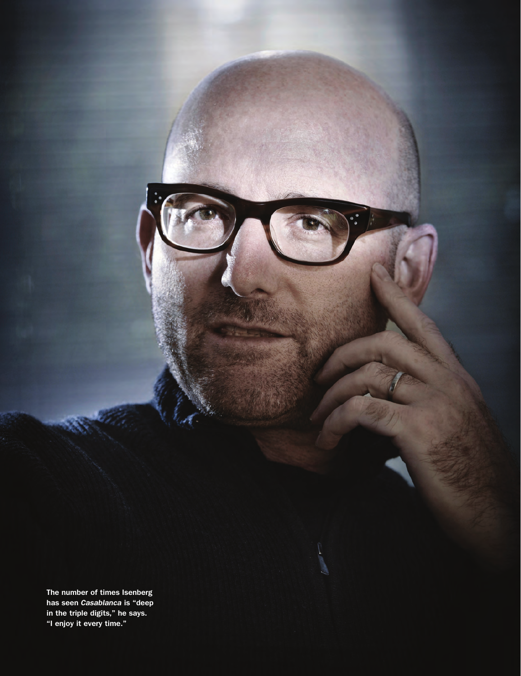**The number of times Isenberg has seen** *Casablanca* **is "deep in the triple digits," he says. "I enjoy it every time."**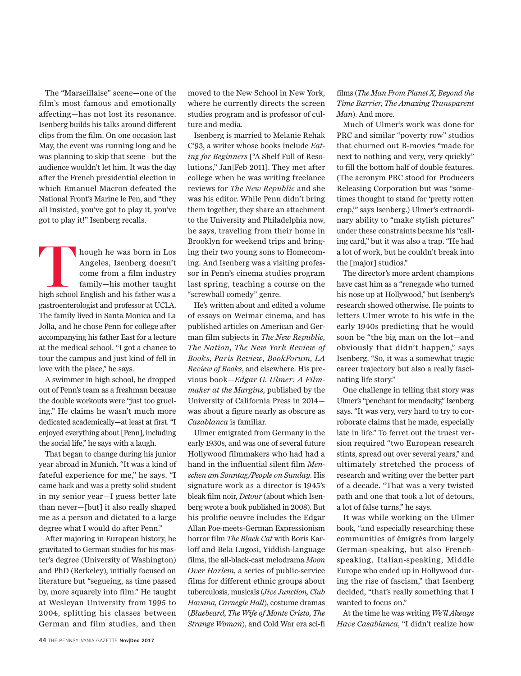The "Marseillaise" scene—one of the film's most famous and emotionally affecting—has not lost its resonance. Isenberg builds his talks around different clips from the film. On one occasion last May, the event was running long and he was planning to skip that scene—but the audience wouldn't let him. It was the day after the French presidential election in which Emanuel Macron defeated the National Front's Marine le Pen, and "they all insisted, you've got to play it, you've got to play it!" Isenberg recalls.

**THOUGH HE WAS BOTH IT AND MODEL SAMPLE SCHOOL SERVICE SCHOOL ENGINEERT SCHOOL ENGINEERT SCHOOL ENGINEERT SCHOOL ENGINEERT SCHOOL ENGINEERT SCHOOL ENGINEERT SCHOOL ENGINEERT SCHOOL ENGINEERT SCHOOL ENGINEERT SCHOOL ENGINEE** Angeles, Isenberg doesn't come from a film industry family—his mother taught gastroenterologist and professor at UCLA. The family lived in Santa Monica and La Jolla, and he chose Penn for college after accompanying his father East for a lecture at the medical school. "I got a chance to tour the campus and just kind of fell in love with the place," he says.

A swimmer in high school, he dropped out of Penn's team as a freshman because the double workouts were "just too grueling." He claims he wasn't much more dedicated academically—at least at first. "I enjoyed everything about [Penn], including the social life," he says with a laugh.

That began to change during his junior year abroad in Munich. "It was a kind of fateful experience for me," he says. "I came back and was a pretty solid student in my senior year—I guess better late than never—[but] it also really shaped me as a person and dictated to a large degree what I would do after Penn."

After majoring in European history, he gravitated to German studies for his master's degree (University of Washington) and PhD (Berkeley), initially focused on literature but "segueing, as time passed by, more squarely into film." He taught at Wesleyan University from 1995 to 2004, splitting his classes between German and film studies, and then

moved to the New School in New York, where he currently directs the screen studies program and is professor of culture and media.

Isenberg is married to Melanie Rehak C'93, a writer whose books include *Eating for Beginners* ["A Shelf Full of Resolutions," Jan|Feb 2011]. They met after college when he was writing freelance reviews for *The New Republic* and she was his editor. While Penn didn't bring them together, they share an attachment to the University and Philadelphia now, he says, traveling from their home in Brooklyn for weekend trips and bringing their two young sons to Homecoming. And Isenberg was a visiting professor in Penn's cinema studies program last spring, teaching a course on the "screwball comedy" genre.

He's written about and edited a volume of essays on Weimar cinema, and has published articles on American and German film subjects in *The New Republic, The Nation, The New York Review of Books, Paris Review, BookForum, LA Review of Books*, and elsewhere. His previous book—*Edgar G. Ulmer: A Filmmaker at the Margins,* published by the University of California Press in 2014 was about a figure nearly as obscure as *Casablanca* is familiar.

Ulmer emigrated from Germany in the early 1930s, and was one of several future Hollywood filmmakers who had had a hand in the influential silent film *Menschen am Sonntag/People on Sunday*. His signature work as a director is 1945's bleak film noir, *Detour* (about which Isenberg wrote a book published in 2008). But his prolific oeuvre includes the Edgar Allan Poe-meets-German Expressionism horror film *The Black Cat* with Boris Karloff and Bela Lugosi, Yiddish-language films, the all-black-cast melodrama *Moon Over Harlem,* a series of public-service films for different ethnic groups about tuberculosis, musicals (*Jive Junction, Club Havana, Carnegie Hall*), costume dramas (*Bluebeard, The Wife of Monte Cristo, The Strange Woman*), and Cold War era sci-fi

films (*The Man From Planet X, Beyond the Time Barrier, The Amazing Transparent Man*). And more.

Much of Ulmer's work was done for PRC and similar "poverty row" studios that churned out B-movies "made for next to nothing and very, very quickly" to fill the bottom half of double features. (The acronym PRC stood for Producers Releasing Corporation but was "sometimes thought to stand for 'pretty rotten crap,'" says Isenberg.) Ulmer's extraordinary ability to "make stylish pictures" under these constraints became his "calling card," but it was also a trap. "He had a lot of work, but he couldn't break into the [major] studios."

The director's more ardent champions have cast him as a "renegade who turned his nose up at Hollywood," but Isenberg's research showed otherwise. He points to letters Ulmer wrote to his wife in the early 1940s predicting that he would soon be "the big man on the lot—and obviously that didn't happen," says Isenberg. "So, it was a somewhat tragic career trajectory but also a really fascinating life story."

One challenge in telling that story was Ulmer's "penchant for mendacity," Isenberg says. "It was very, very hard to try to corroborate claims that he made, especially late in life." To ferret out the truest version required "two European research stints, spread out over several years," and ultimately stretched the process of research and writing over the better part of a decade. "That was a very twisted path and one that took a lot of detours, a lot of false turns," he says.

It was while working on the Ulmer book, "and especially researching these communities of émigrés from largely German-speaking, but also Frenchspeaking, Italian-speaking, Middle Europe who ended up in Hollywood during the rise of fascism," that Isenberg decided, "that's really something that I wanted to focus on."

At the time he was writing *We'll Always Have Casablanca*, "I didn't realize how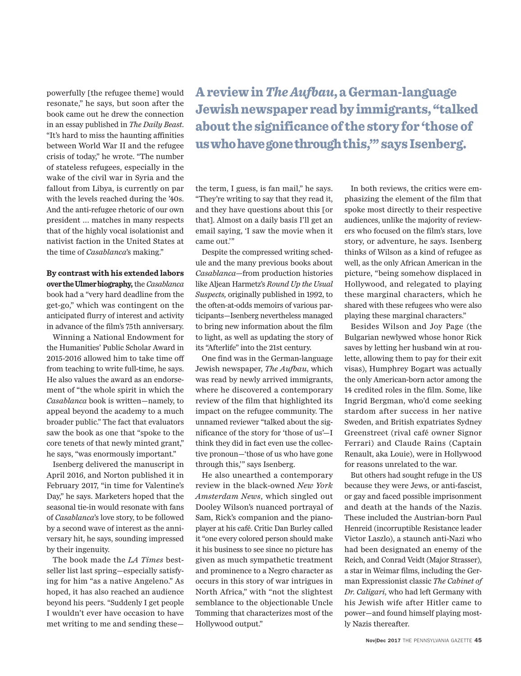powerfully [the refugee theme] would resonate," he says, but soon after the book came out he drew the connection in an essay published in *The Daily Beast*. "It's hard to miss the haunting affinities between World War II and the refugee crisis of today," he wrote. "The number of stateless refugees, especially in the wake of the civil war in Syria and the fallout from Libya, is currently on par with the levels reached during the '40s. And the anti-refugee rhetoric of our own president … matches in many respects that of the highly vocal isolationist and nativist faction in the United States at the time of *Casablanca*'s making."

## **By contrast with his extended labors over the Ulmer biography,** the *Casablanca* book had a "very hard deadline from the get-go," which was contingent on the anticipated flurry of interest and activity in advance of the film's 75th anniversary.

Winning a National Endowment for the Humanities' Public Scholar Award in 2015-2016 allowed him to take time off from teaching to write full-time, he says. He also values the award as an endorsement of "the whole spirit in which the *Casablanca* book is written—namely, to appeal beyond the academy to a much broader public." The fact that evaluators saw the book as one that "spoke to the core tenets of that newly minted grant," he says, "was enormously important."

Isenberg delivered the manuscript in April 2016, and Norton published it in February 2017, "in time for Valentine's Day," he says. Marketers hoped that the seasonal tie-in would resonate with fans of *Casablanca*'s love story, to be followed by a second wave of interest as the anniversary hit, he says, sounding impressed by their ingenuity.

The book made the *LA Times* bestseller list last spring—especially satisfying for him "as a native Angeleno." As hoped, it has also reached an audience beyond his peers. "Suddenly I get people I wouldn't ever have occasion to have met writing to me and sending theseA review in *The Aufbau*, a German-language Jewish newspaper read by immigrants, "talked about the significance of the story for 'those of us who have gone through this,'" says Isenberg.

the term, I guess, is fan mail," he says. "They're writing to say that they read it, and they have questions about this [or that]. Almost on a daily basis I'll get an email saying, 'I saw the movie when it came out.'"

Despite the compressed writing schedule and the many previous books about *Casablanca—*from production histories like Aljean Harmetz's *Round Up the Usual Suspects,* originally published in 1992, to the often-at-odds memoirs of various participants—Isenberg nevertheless managed to bring new information about the film to light, as well as updating the story of its "Afterlife" into the 21st century.

One find was in the German-language Jewish newspaper, *The Aufbau*, which was read by newly arrived immigrants, where he discovered a contemporary review of the film that highlighted its impact on the refugee community. The unnamed reviewer "talked about the significance of the story for 'those of us'—I think they did in fact even use the collective pronoun—'those of us who have gone through this,'" says Isenberg.

He also unearthed a contemporary review in the black-owned *New York Amsterdam News*, which singled out Dooley Wilson's nuanced portrayal of Sam, Rick's companion and the pianoplayer at his café. Critic Dan Burley called it "one every colored person should make it his business to see since no picture has given as much sympathetic treatment and prominence to a Negro character as occurs in this story of war intrigues in North Africa," with "not the slightest semblance to the objectionable Uncle Tomming that characterizes most of the Hollywood output."

In both reviews, the critics were emphasizing the element of the film that spoke most directly to their respective audiences, unlike the majority of reviewers who focused on the film's stars, love story, or adventure, he says. Isenberg thinks of Wilson as a kind of refugee as well, as the only African American in the picture, "being somehow displaced in Hollywood, and relegated to playing these marginal characters, which he shared with these refugees who were also playing these marginal characters."

Besides Wilson and Joy Page (the Bulgarian newlywed whose honor Rick saves by letting her husband win at roulette, allowing them to pay for their exit visas), Humphrey Bogart was actually the only American-born actor among the 14 credited roles in the film. Some, like Ingrid Bergman, who'd come seeking stardom after success in her native Sweden, and British expatriates Sydney Greenstreet (rival café owner Signor Ferrari) and Claude Rains (Captain Renault, aka Louie), were in Hollywood for reasons unrelated to the war.

But others had sought refuge in the US because they were Jews, or anti-fascist, or gay and faced possible imprisonment and death at the hands of the Nazis. These included the Austrian-born Paul Henreid (incorruptible Resistance leader Victor Laszlo), a staunch anti-Nazi who had been designated an enemy of the Reich, and Conrad Veidt (Major Strasser), a star in Weimar films, including the German Expressionist classic *The Cabinet of Dr. Caligari*, who had left Germany with his Jewish wife after Hitler came to power—and found himself playing mostly Nazis thereafter.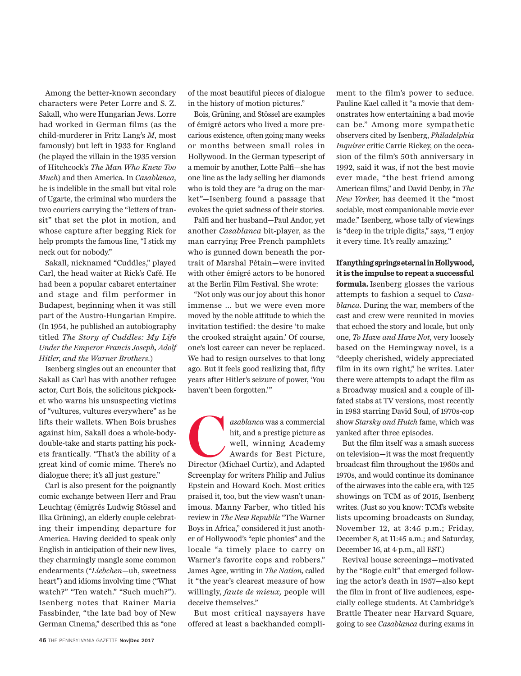Among the better-known secondary characters were Peter Lorre and S. Z. Sakall, who were Hungarian Jews. Lorre had worked in German films (as the child-murderer in Fritz Lang's *M*, most famously) but left in 1933 for England (he played the villain in the 1935 version of Hitchcock's *The Man Who Knew Too Much*) and then America. In *Casablanca*, he is indelible in the small but vital role of Ugarte, the criminal who murders the two couriers carrying the "letters of transit" that set the plot in motion, and whose capture after begging Rick for help prompts the famous line, "I stick my neck out for nobody."

Sakall, nicknamed "Cuddles," played Carl, the head waiter at Rick's Café. He had been a popular cabaret entertainer and stage and film performer in Budapest, beginning when it was still part of the Austro-Hungarian Empire. (In 1954, he published an autobiography titled *The Story of Cuddles: My Life Under the Emperor Francis Joseph, Adolf Hitler, and the Warner Brothers.*)

Isenberg singles out an encounter that Sakall as Carl has with another refugee actor, Curt Bois, the solicitous pickpocket who warns his unsuspecting victims of "vultures, vultures everywhere" as he lifts their wallets. When Bois brushes against him, Sakall does a whole-bodydouble-take and starts patting his pockets frantically. "That's the ability of a great kind of comic mime. There's no dialogue there; it's all just gesture."

Carl is also present for the poignantly comic exchange between Herr and Frau Leuchtag (émigrés Ludwig Stössel and Ilka Grüning), an elderly couple celebrating their impending departure for America. Having decided to speak only English in anticipation of their new lives, they charmingly mangle some common endearments ("*Liebchen*—uh, sweetness heart") and idioms involving time ("What watch?" "Ten watch." "Such much?"). Isenberg notes that Rainer Maria Fassbinder, "the late bad boy of New German Cinema," described this as "one of the most beautiful pieces of dialogue in the history of motion pictures."

Bois, Grüning, and Stössel are examples of émigré actors who lived a more precarious existence, often going many weeks or months between small roles in Hollywood. In the German typescript of a memoir by another, Lotte Palfi—she has one line as the lady selling her diamonds who is told they are "a drug on the market"—Isenberg found a passage that evokes the quiet sadness of their stories.

Palfi and her husband—Paul Andor, yet another *Casablanca* bit-player, as the man carrying Free French pamphlets who is gunned down beneath the portrait of Marshal Pétain—were invited with other émigré actors to be honored at the Berlin Film Festival. She wrote:

"Not only was our joy about this honor immense … but we were even more moved by the noble attitude to which the invitation testified: the desire 'to make the crooked straight again.' Of course, one's lost career can never be replaced. We had to resign ourselves to that long ago. But it feels good realizing that, fifty years after Hitler's seizure of power, 'You haven't been forgotten.'"

**C***asablanca* was a commercial Director (Michael Curtiz), and Adapted hit, and a prestige picture as well, winning Academy Awards for Best Picture, Screenplay for writers Philip and Julius Epstein and Howard Koch. Most critics praised it, too, but the view wasn't unanimous. Manny Farber, who titled his review in *The New Republic* "The Warner Boys in Africa," considered it just another of Hollywood's "epic phonies" and the locale "a timely place to carry on Warner's favorite cops and robbers." James Agee, writing in *The Nation,* called it "the year's clearest measure of how willingly, *faute de mieux,* people will deceive themselves."

But most critical naysayers have offered at least a backhanded compli-

ment to the film's power to seduce. Pauline Kael called it "a movie that demonstrates how entertaining a bad movie can be." Among more sympathetic observers cited by Isenberg, *Philadelphia Inquirer* critic Carrie Rickey, on the occasion of the film's 50th anniversary in 1992, said it was, if not the best movie ever made, "the best friend among American films," and David Denby, in *The New Yorker,* has deemed it the "most sociable, most companionable movie ever made." Isenberg, whose tally of viewings is "deep in the triple digits," says, "I enjoy it every time. It's really amazing."

**If anything springs eternal in Hollywood, it is the impulse to repeat a successful formula.** Isenberg glosses the various attempts to fashion a sequel to *Casablanca*. During the war, members of the cast and crew were reunited in movies that echoed the story and locale, but only one, *To Have and Have Not*, very loosely based on the Hemingway novel, is a "deeply cherished, widely appreciated film in its own right," he writes. Later there were attempts to adapt the film as a Broadway musical and a couple of illfated stabs at TV versions, most recently in 1983 starring David Soul, of 1970s-cop show *Starsky and Hutch* fame, which was yanked after three episodes.

But the film itself was a smash success on television—it was the most frequently broadcast film throughout the 1960s and 1970s, and would continue its dominance of the airwaves into the cable era, with 125 showings on TCM as of 2015, Isenberg writes. (Just so you know: TCM's website lists upcoming broadcasts on Sunday, November 12, at 3:45 p.m.; Friday, December 8, at 11:45 a.m.; and Saturday, December 16, at 4 p.m., all EST.)

Revival house screenings—motivated by the "Bogie cult" that emerged following the actor's death in 1957—also kept the film in front of live audiences, especially college students. At Cambridge's Brattle Theater near Harvard Square, going to see *Casablanca* during exams in